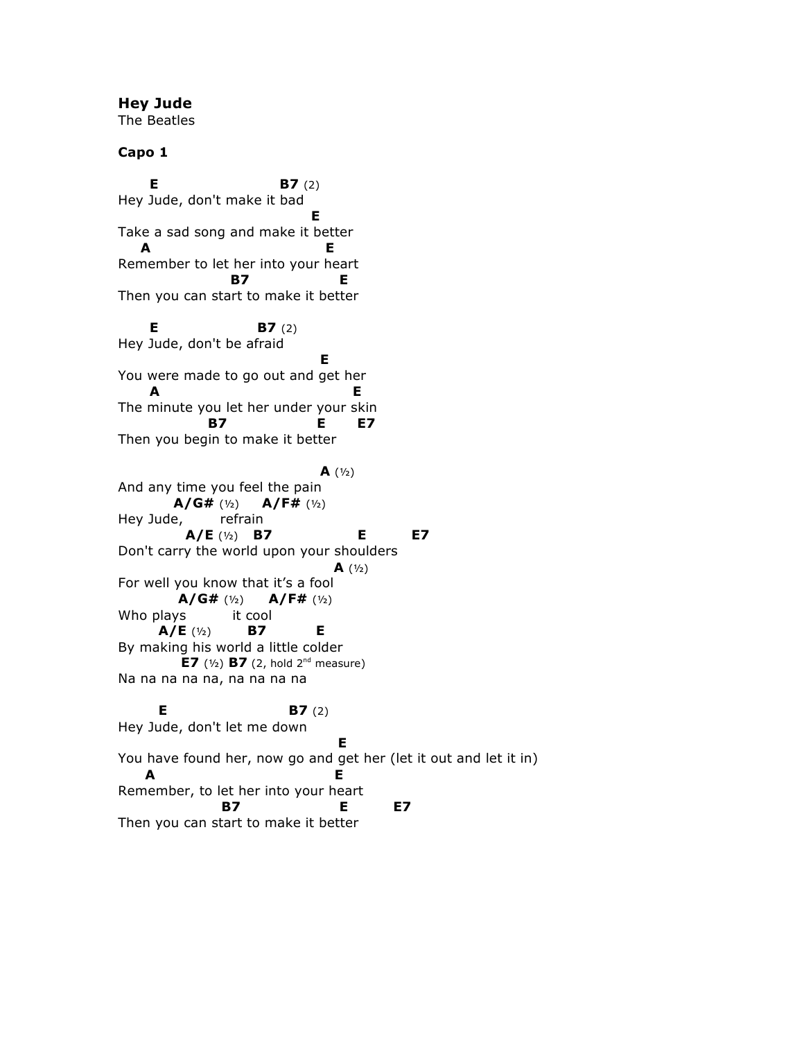## **Hey Jude**

The Beatles

## **Capo 1**

**E B7** (2) Hey Jude, don't make it bad **E** Take a sad song and make it better  **A E** Remember to let her into your heart **B7** E Then you can start to make it better **E B7** (2) Hey Jude, don't be afraid **E** You were made to go out and get her  **A E** The minute you let her under your skin **B7** E E7 Then you begin to make it better **A**  $(\frac{1}{2})$ And any time you feel the pain **A/G#** (½) **A/F#** (½) Hey Jude, refrain  **A/E** (½) **B7 E E7** Don't carry the world upon your shoulders **A**  $(\frac{1}{2})$ For well you know that it's a fool **A/G#** (½) **A/F#** (½) Who plays it cool  **A/E** (½) **B7 E** By making his world a little colder **E7** ( $\frac{1}{2}$ ) **B7** (2, hold  $2^{nd}$  measure) Na na na na na, na na na na **E B7** (2) Hey Jude, don't let me down **E** You have found her, now go and get her (let it out and let it in)  **A E** Remember, to let her into your heart **B7** E E7 Then you can start to make it better